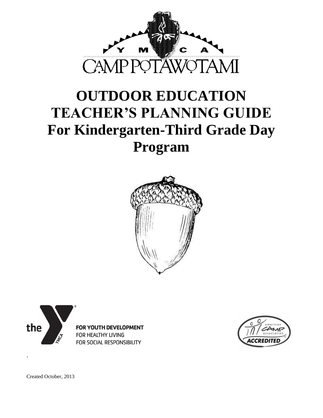

# **OUTDOOR EDUCATION TEACHER'S PLANNING GUIDE For Kindergarten-Third Grade Day Program**







Created October, 2013

.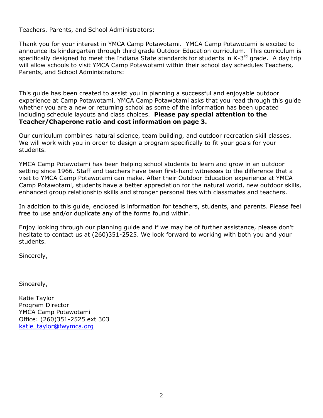Teachers, Parents, and School Administrators:

Thank you for your interest in YMCA Camp Potawotami. YMCA Camp Potawotami is excited to announce its kindergarten through third grade Outdoor Education curriculum. This curriculum is specifically designed to meet the Indiana State standards for students in K-3<sup>rd</sup> grade. A day trip will allow schools to visit YMCA Camp Potawotami within their school day schedules Teachers, Parents, and School Administrators:

This guide has been created to assist you in planning a successful and enjoyable outdoor experience at Camp Potawotami. YMCA Camp Potawotami asks that you read through this guide whether you are a new or returning school as some of the information has been updated including schedule layouts and class choices. **Please pay special attention to the Teacher/Chaperone ratio and cost information on page 3.** 

Our curriculum combines natural science, team building, and outdoor recreation skill classes. We will work with you in order to design a program specifically to fit your goals for your students.

YMCA Camp Potawotami has been helping school students to learn and grow in an outdoor setting since 1966. Staff and teachers have been first-hand witnesses to the difference that a visit to YMCA Camp Potawotami can make. After their Outdoor Education experience at YMCA Camp Potawotami, students have a better appreciation for the natural world, new outdoor skills, enhanced group relationship skills and stronger personal ties with classmates and teachers.

In addition to this guide, enclosed is information for teachers, students, and parents. Please feel free to use and/or duplicate any of the forms found within.

Enjoy looking through our planning guide and if we may be of further assistance, please don't hesitate to contact us at (260)351-2525. We look forward to working with both you and your students.

Sincerely,

Sincerely,

Katie Taylor Program Director YMCA Camp Potawotami Office: (260)351-2525 ext 303 [katie\\_taylor@fwymca.org](mailto:katie_taylor@fwymca.org)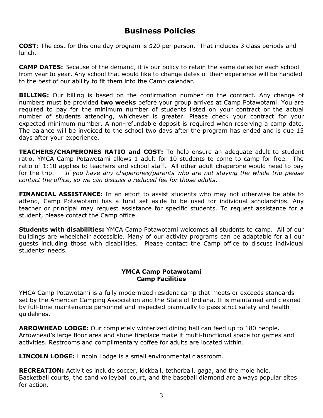# **Business Policies**

**COST**: The cost for this one day program is \$20 per person. That includes 3 class periods and lunch.

**CAMP DATES:** Because of the demand, it is our policy to retain the same dates for each school from year to year. Any school that would like to change dates of their experience will be handled to the best of our ability to fit them into the Camp calendar.

**BILLING:** Our billing is based on the confirmation number on the contract. Any change of numbers must be provided **two weeks** before your group arrives at Camp Potawotami. You are required to pay for the minimum number of students listed on your contract or the actual number of students attending, whichever is greater. Please check your contract for your expected minimum number. A non-refundable deposit is required when reserving a camp date. The balance will be invoiced to the school two days after the program has ended and is due 15 days after your experience.

**TEACHERS/CHAPERONES RATIO and COST:** To help ensure an adequate adult to student ratio, YMCA Camp Potawotami allows 1 adult for 10 students to come to camp for free. The ratio of 1:10 applies to teachers and school staff. All other adult chaperone would need to pay for the trip. *If you have any chaperones/parents who are not staying the whole trip please contact the office, so we can discuss a reduced fee for those adults*.

**FINANCIAL ASSISTANCE:** In an effort to assist students who may not otherwise be able to attend, Camp Potawotami has a fund set aside to be used for individual scholarships. Any teacher or principal may request assistance for specific students. To request assistance for a student, please contact the Camp office.

**Students with disabilities:** YMCA Camp Potawotami welcomes all students to camp. All of our buildings are wheelchair accessible. Many of our activity programs can be adaptable for all our guests including those with disabilities. Please contact the Camp office to discuss individual students' needs.

## **YMCA Camp Potawotami Camp Facilities**

YMCA Camp Potawotami is a fully modernized resident camp that meets or exceeds standards set by the American Camping Association and the State of Indiana. It is maintained and cleaned by full-time maintenance personnel and inspected biannually to pass strict safety and health guidelines.

**ARROWHEAD LODGE:** Our completely winterized dining hall can feed up to 180 people. Arrowhead's large floor area and stone fireplace make it multi-functional space for games and activities. Restrooms and complimentary coffee for adults are located within.

**LINCOLN LODGE:** Lincoln Lodge is a small environmental classroom.

**RECREATION:** Activities include soccer, kickball, tetherball, gaga, and the mole hole. Basketball courts, the sand volleyball court, and the baseball diamond are always popular sites for action.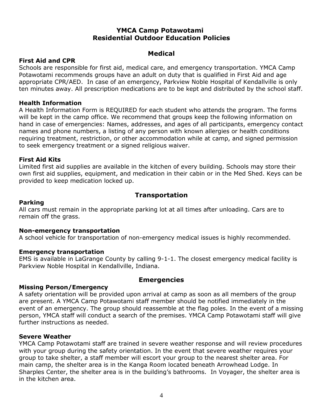## **YMCA Camp Potawotami Residential Outdoor Education Policies**

## **Medical**

## **First Aid and CPR**

Schools are responsible for first aid, medical care, and emergency transportation. YMCA Camp Potawotami recommends groups have an adult on duty that is qualified in First Aid and age appropriate CPR/AED. In case of an emergency, Parkview Noble Hospital of Kendallville is only ten minutes away. All prescription medications are to be kept and distributed by the school staff.

#### **Health Information**

A Health Information Form is REQUIRED for each student who attends the program. The forms will be kept in the camp office. We recommend that groups keep the following information on hand in case of emergencies: Names, addresses, and ages of all participants, emergency contact names and phone numbers, a listing of any person with known allergies or health conditions requiring treatment, restriction, or other accommodation while at camp, and signed permission to seek emergency treatment or a signed religious waiver.

#### **First Aid Kits**

Limited first aid supplies are available in the kitchen of every building. Schools may store their own first aid supplies, equipment, and medication in their cabin or in the Med Shed. Keys can be provided to keep medication locked up.

## **Transportation**

#### **Parking**

All cars must remain in the appropriate parking lot at all times after unloading. Cars are to remain off the grass.

#### **Non-emergency transportation**

A school vehicle for transportation of non-emergency medical issues is highly recommended.

## **Emergency transportation**

EMS is available in LaGrange County by calling 9-1-1. The closest emergency medical facility is Parkview Noble Hospital in Kendallville, Indiana.

## **Missing Person/Emergency**

## **Emergencies**

A safety orientation will be provided upon arrival at camp as soon as all members of the group are present. A YMCA Camp Potawotami staff member should be notified immediately in the event of an emergency. The group should reassemble at the flag poles. In the event of a missing person, YMCA staff will conduct a search of the premises. YMCA Camp Potawotami staff will give further instructions as needed.

#### **Severe Weather**

YMCA Camp Potawotami staff are trained in severe weather response and will review procedures with your group during the safety orientation. In the event that severe weather requires your group to take shelter, a staff member will escort your group to the nearest shelter area. For main camp, the shelter area is in the Kanga Room located beneath Arrowhead Lodge. In Sharples Center, the shelter area is in the building's bathrooms. In Voyager, the shelter area is in the kitchen area.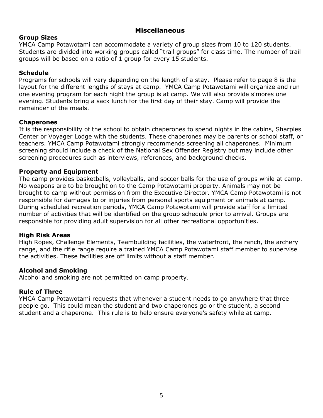## **Miscellaneous**

#### **Group Sizes**

YMCA Camp Potawotami can accommodate a variety of group sizes from 10 to 120 students. Students are divided into working groups called "trail groups" for class time. The number of trail groups will be based on a ratio of 1 group for every 15 students.

#### **Schedule**

Programs for schools will vary depending on the length of a stay. Please refer to page 8 is the layout for the different lengths of stays at camp. YMCA Camp Potawotami will organize and run one evening program for each night the group is at camp. We will also provide s'mores one evening. Students bring a sack lunch for the first day of their stay. Camp will provide the remainder of the meals.

#### **Chaperones**

It is the responsibility of the school to obtain chaperones to spend nights in the cabins, Sharples Center or Voyager Lodge with the students. These chaperones may be parents or school staff, or teachers. YMCA Camp Potawotami strongly recommends screening all chaperones. Minimum screening should include a check of the National Sex Offender Registry but may include other screening procedures such as interviews, references, and background checks.

#### **Property and Equipment**

The camp provides basketballs, volleyballs, and soccer balls for the use of groups while at camp. No weapons are to be brought on to the Camp Potawotami property. Animals may not be brought to camp without permission from the Executive Director. YMCA Camp Potawotami is not responsible for damages to or injuries from personal sports equipment or animals at camp. During scheduled recreation periods, YMCA Camp Potawotami will provide staff for a limited number of activities that will be identified on the group schedule prior to arrival. Groups are responsible for providing adult supervision for all other recreational opportunities.

#### **High Risk Areas**

High Ropes, Challenge Elements, Teambuilding facilities, the waterfront, the ranch, the archery range, and the rifle range require a trained YMCA Camp Potawotami staff member to supervise the activities. These facilities are off limits without a staff member.

#### **Alcohol and Smoking**

Alcohol and smoking are not permitted on camp property.

#### **Rule of Three**

YMCA Camp Potawotami requests that whenever a student needs to go anywhere that three people go. This could mean the student and two chaperones go or the student, a second student and a chaperone. This rule is to help ensure everyone's safety while at camp.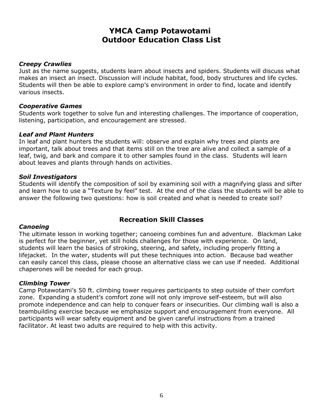# **YMCA Camp Potawotami Outdoor Education Class List**

#### *Creepy Crawlies*

Just as the name suggests, students learn about insects and spiders. Students will discuss what makes an insect an insect. Discussion will include habitat, food, body structures and life cycles. Students will then be able to explore camp's environment in order to find, locate and identify various insects.

#### *Cooperative Games*

Students work together to solve fun and interesting challenges. The importance of cooperation, listening, participation, and encouragement are stressed.

#### *Leaf and Plant Hunters*

In leaf and plant hunters the students will: observe and explain why trees and plants are important, talk about trees and that items still on the tree are alive and collect a sample of a leaf, twig, and bark and compare it to other samples found in the class. Students will learn about leaves and plants through hands on activities.

#### *Soil Investigators*

Students will identify the composition of soil by examining soil with a magnifying glass and sifter and learn how to use a "Texture by feel" test. At the end of the class the students will be able to answer the following two questions: how is soil created and what is needed to create soil?

## **Recreation Skill Classes**

#### *Canoeing*

The ultimate lesson in working together; canoeing combines fun and adventure. Blackman Lake is perfect for the beginner, yet still holds challenges for those with experience. On land, students will learn the basics of stroking, steering, and safety, including properly fitting a lifejacket. In the water, students will put these techniques into action. Because bad weather can easily cancel this class, please choose an alternative class we can use if needed. Additional chaperones will be needed for each group.

#### *Climbing Tower*

Camp Potawotami's 50 ft. climbing tower requires participants to step outside of their comfort zone. Expanding a student's comfort zone will not only improve self-esteem, but will also promote independence and can help to conquer fears or insecurities. Our climbing wall is also a teambuilding exercise because we emphasize support and encouragement from everyone. All participants will wear safety equipment and be given careful instructions from a trained facilitator. At least two adults are required to help with this activity.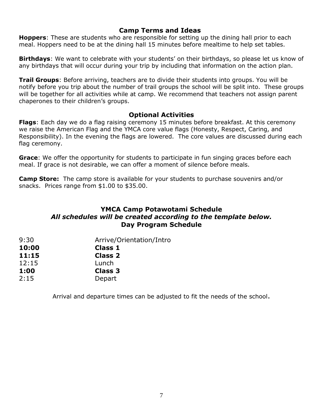## **Camp Terms and Ideas**

**Hoppers**: These are students who are responsible for setting up the dining hall prior to each meal. Hoppers need to be at the dining hall 15 minutes before mealtime to help set tables.

**Birthdays**: We want to celebrate with your students' on their birthdays, so please let us know of any birthdays that will occur during your trip by including that information on the action plan.

**Trail Groups**: Before arriving, teachers are to divide their students into groups. You will be notify before you trip about the number of trail groups the school will be split into. These groups will be together for all activities while at camp. We recommend that teachers not assign parent chaperones to their children's groups.

## **Optional Activities**

**Flags**: Each day we do a flag raising ceremony 15 minutes before breakfast. At this ceremony we raise the American Flag and the YMCA core value flags (Honesty, Respect, Caring, and Responsibility). In the evening the flags are lowered. The core values are discussed during each flag ceremony.

**Grace**: We offer the opportunity for students to participate in fun singing graces before each meal. If grace is not desirable, we can offer a moment of silence before meals.

**Camp Store:** The camp store is available for your students to purchase souvenirs and/or snacks. Prices range from \$1.00 to \$35.00.

# **YMCA Camp Potawotami Schedule**  *All schedules will be created according to the template below.* **Day Program Schedule**

| 9:30  | Arrive/Orientation/Intro |
|-------|--------------------------|
| 10:00 | <b>Class 1</b>           |
| 11:15 | <b>Class 2</b>           |
| 12:15 | Lunch                    |
| 1:00  | <b>Class 3</b>           |
| 2:15  | Depart                   |

Arrival and departure times can be adjusted to fit the needs of the school.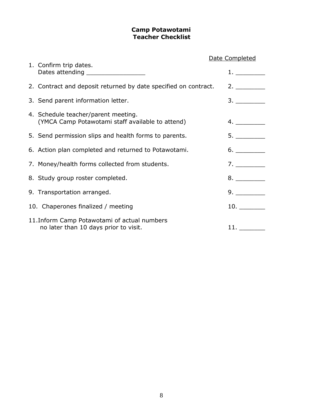## **Camp Potawotami Teacher Checklist**

|                                                                                         | Date Completed |  |
|-----------------------------------------------------------------------------------------|----------------|--|
| 1. Confirm trip dates.<br>Dates attending _____________________                         |                |  |
| 2. Contract and deposit returned by date specified on contract.                         |                |  |
| 3. Send parent information letter.                                                      | 3.             |  |
| 4. Schedule teacher/parent meeting.<br>(YMCA Camp Potawotami staff available to attend) | 4.             |  |
| 5. Send permission slips and health forms to parents.                                   | 5.             |  |
| 6. Action plan completed and returned to Potawotami.                                    | 6.             |  |
| 7. Money/health forms collected from students.                                          | 7.             |  |
| 8. Study group roster completed.                                                        | 8.             |  |
| 9. Transportation arranged.                                                             | 9.             |  |
| 10. Chaperones finalized / meeting                                                      | 10.            |  |
| 11. Inform Camp Potawotami of actual numbers<br>no later than 10 days prior to visit.   | 11.            |  |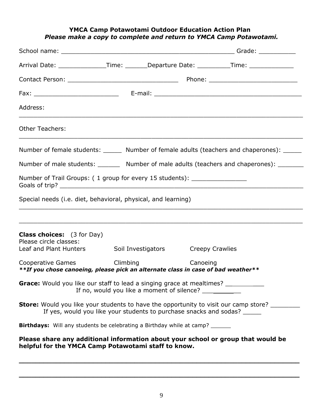#### **YMCA Camp Potawotami Outdoor Education Action Plan** *Please make a copy to complete and return to YMCA Camp Potawotami.*

| Arrival Date: ________________Time: _______Departure Date: __________Time: _____________                                                                                 |                                                                                                                        |          |                                                                                                                       |  |  |  |  |
|--------------------------------------------------------------------------------------------------------------------------------------------------------------------------|------------------------------------------------------------------------------------------------------------------------|----------|-----------------------------------------------------------------------------------------------------------------------|--|--|--|--|
|                                                                                                                                                                          |                                                                                                                        |          |                                                                                                                       |  |  |  |  |
|                                                                                                                                                                          |                                                                                                                        |          |                                                                                                                       |  |  |  |  |
| Address:                                                                                                                                                                 |                                                                                                                        |          |                                                                                                                       |  |  |  |  |
| <b>Other Teachers:</b>                                                                                                                                                   | <u> 1990 - Johann Stoff, amerikan bestein der demokratischer Stoff und der Stoff und der Stoff und der Stoff und d</u> |          |                                                                                                                       |  |  |  |  |
| Number of female students: _______ Number of female adults (teachers and chaperones): ______                                                                             |                                                                                                                        |          |                                                                                                                       |  |  |  |  |
| Number of male students: ________ Number of male adults (teachers and chaperones): _______                                                                               |                                                                                                                        |          |                                                                                                                       |  |  |  |  |
| Number of Trail Groups: (1 group for every 15 students): _______________________                                                                                         |                                                                                                                        |          |                                                                                                                       |  |  |  |  |
| Special needs (i.e. diet, behavioral, physical, and learning)                                                                                                            |                                                                                                                        |          |                                                                                                                       |  |  |  |  |
| <b>Class choices:</b> (3 for Day)<br>Please circle classes:<br>Leaf and Plant Hunters Soil Investigators Creepy Crawlies                                                 |                                                                                                                        |          | <u> 1989 - Johann Stoff, amerikan bestein de stad in de stad in de stad in de stad in de stad in de stad in de st</u> |  |  |  |  |
| Cooperative Games Climbing<br>**If you chose canoeing, please pick an alternate class in case of bad weather**                                                           |                                                                                                                        | Canoeing |                                                                                                                       |  |  |  |  |
| Grace: Would you like our staff to lead a singing grace at mealtimes? __________<br>If no, would you like a moment of silence?                                           |                                                                                                                        |          |                                                                                                                       |  |  |  |  |
| <b>Store:</b> Would you like your students to have the opportunity to visit our camp store?<br>If yes, would you like your students to purchase snacks and sodas? ______ |                                                                                                                        |          |                                                                                                                       |  |  |  |  |
| <b>Birthdays:</b> Will any students be celebrating a Birthday while at camp?                                                                                             |                                                                                                                        |          |                                                                                                                       |  |  |  |  |
| Please share any additional information about your school or group that would be<br>helpful for the YMCA Camp Potawotami staff to know.                                  |                                                                                                                        |          |                                                                                                                       |  |  |  |  |

**\_\_\_\_\_\_\_\_\_\_\_\_\_\_\_\_\_\_\_\_\_\_\_\_\_\_\_\_\_\_\_\_\_\_\_\_\_\_\_\_\_\_\_\_\_\_\_\_\_\_\_\_\_\_\_\_\_\_\_\_\_\_\_\_\_\_\_\_**